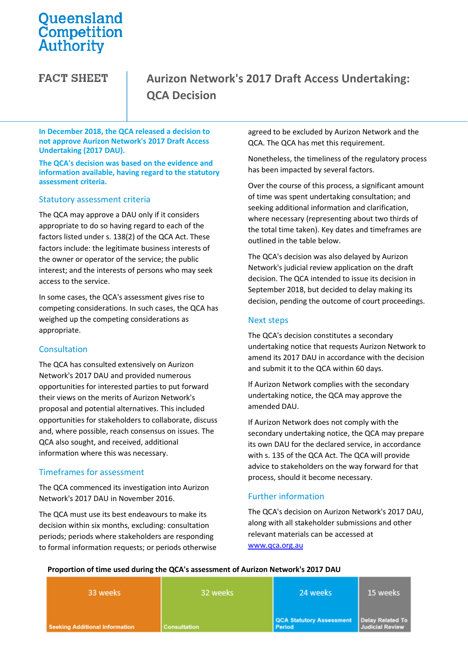# Queensland<br>Competition Authority

**FACT SHEET** 

# **Aurizon Network's 2017 Draft Access Undertaking: QCA Decision**

#### **In December 2018, the QCA released a decision to not approve Aurizon Network's 2017 Draft Access Undertaking (2017 DAU).**

**The QCA's decision was based on the evidence and information available, having regard to the statutory assessment criteria.**

#### Statutory assessment criteria

The QCA may approve a DAU only if it considers appropriate to do so having regard to each of the factors listed under s. 138(2) of the QCA Act. These factors include: the legitimate business interests of the owner or operator of the service; the public interest; and the interests of persons who may seek access to the service.

In some cases, the QCA's assessment gives rise to competing considerations. In such cases, the QCA has weighed up the competing considerations as appropriate.

#### Consultation

The QCA has consulted extensively on Aurizon Network's 2017 DAU and provided numerous opportunities for interested parties to put forward their views on the merits of Aurizon Network's proposal and potential alternatives. This included opportunities for stakeholders to collaborate, discuss and, where possible, reach consensus on issues. The QCA also sought, and received, additional information where this was necessary.

# Timeframes for assessment

The QCA commenced its investigation into Aurizon Network's 2017 DAU in November 2016.

The QCA must use its best endeavours to make its decision within six months, excluding: consultation periods; periods where stakeholders are responding to formal information requests; or periods otherwise agreed to be excluded by Aurizon Network and the QCA. The QCA has met this requirement.

Nonetheless, the timeliness of the regulatory process has been impacted by several factors.

Over the course of this process, a significant amount of time was spent undertaking consultation; and seeking additional information and clarification, where necessary (representing about two thirds of the total time taken). Key dates and timeframes are outlined in the table below.

The QCA's decision was also delayed by Aurizon Network's judicial review application on the draft decision. The QCA intended to issue its decision in September 2018, but decided to delay making its decision, pending the outcome of court proceedings.

### Next steps

The QCA's decision constitutes a secondary undertaking notice that requests Aurizon Network to amend its 2017 DAU in accordance with the decision and submit it to the QCA within 60 days.

If Aurizon Network complies with the secondary undertaking notice, the QCA may approve the amended DAU.

If Aurizon Network does not comply with the secondary undertaking notice, the QCA may prepare its own DAU for the declared service, in accordance with s. 135 of the QCA Act. The QCA will provide advice to stakeholders on the way forward for that process, should it become necessary.

# Further information

The QCA's decision on Aurizon Network's 2017 DAU, along with all stakeholder submissions and other relevant materials can be accessed at [www.qca.org.au](http://www.qca.org.au/) 

#### **Proportion of time used during the QCA's assessment of Aurizon Network's 2017 DAU**

| 33 weeks                              | 32 weeks            | 24 weeks                                                       | 15 weeks               |
|---------------------------------------|---------------------|----------------------------------------------------------------|------------------------|
| <b>Seeking Additional Information</b> | <b>Consultation</b> | QCA Statutory Assessment   Delay Related To  <br><b>Period</b> | <b>Judicial Review</b> |